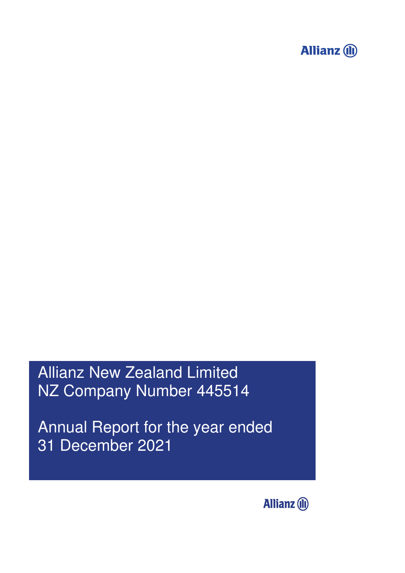

Allianz New Zealand Limited NZ Company Number 445514

Annual Report for the year ended 31 December 2021

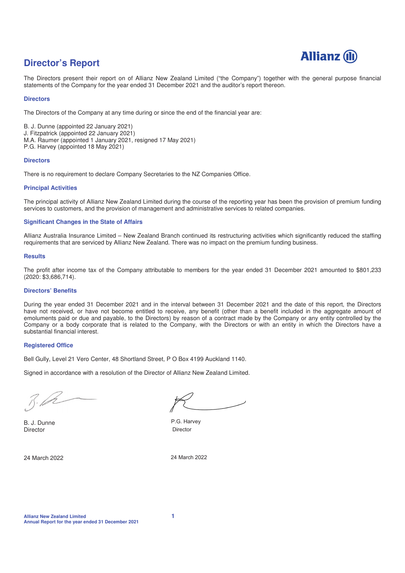

# **Director's Report**

The Directors present their report on of Allianz New Zealand Limited ("the Company") together with the general purpose financial statements of the Company for the year ended 31 December 2021 and the auditor's report thereon.

#### **Directors**

The Directors of the Company at any time during or since the end of the financial year are:

B. J. Dunne (appointed 22 January 2021) J. Fitzpatrick (appointed 22 January 2021) M.A. Raumer (appointed 1 January 2021, resigned 17 May 2021) P.G. Harvey (appointed 18 May 2021)

#### **Directors**

There is no requirement to declare Company Secretaries to the NZ Companies Office.

#### **Principal Activities**

The principal activity of Allianz New Zealand Limited during the course of the reporting year has been the provision of premium funding services to customers, and the provision of management and administrative services to related companies.

#### **Significant Changes in the State of Affairs**

Allianz Australia Insurance Limited – New Zealand Branch continued its restructuring activities which significantly reduced the staffing requirements that are serviced by Allianz New Zealand. There was no impact on the premium funding business.

#### **Results**

The profit after income tax of the Company attributable to members for the year ended 31 December 2021 amounted to \$801,233 (2020: \$3,686,714).

#### **Directors' Benefits**

During the year ended 31 December 2021 and in the interval between 31 December 2021 and the date of this report, the Directors have not received, or have not become entitled to receive, any benefit (other than a benefit included in the aggregate amount of emoluments paid or due and payable, to the Directors) by reason of a contract made by the Company or any entity controlled by the Company or a body corporate that is related to the Company, with the Directors or with an entity in which the Directors have a substantial financial interest.

#### **Registered Office**

Bell Gully, Level 21 Vero Center, 48 Shortland Street, P O Box 4199 Auckland 1140.

Signed in accordance with a resolution of the Director of Allianz New Zealand Limited.

R.A

B. J. Dunne **Director** 

P.G. Harvey Director

24 March 2022

24 March 2022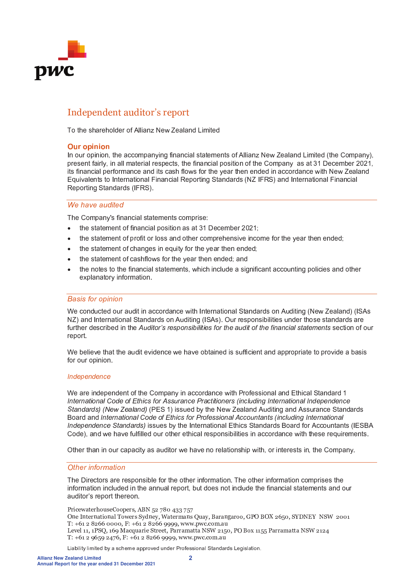

# Independent auditor's report

To the shareholder of Allianz New Zealand Limited

## **Our opinion**

In our opinion, the accompanying financial statements of Allianz New Zealand Limited (the Company), present fairly, in all material respects, the financial position of the Company as at 31 December 2021, its financial performance and its cash flows for the year then ended in accordance with New Zealand Equivalents to International Financial Reporting Standards (NZ IFRS) and International Financial Reporting Standards (IFRS).

## We have audited

The Company's financial statements comprise:

- $\bullet$ the statement of financial position as at 31 December 2021;
- $\bullet$ the statement of profit or loss and other comprehensive income for the vear then ended:
- $\bullet$ the statement of changes in equity for the year then ended;
- $\bullet$ the statement of cashflows for the year then ended; and
- $\bullet$ the notes to the financial statements, which include a significant accounting policies and other explanatory information.

### **Basis for opinion**

We conducted our audit in accordance with International Standards on Auditing (New Zealand) (ISAs NZ) and International Standards on Auditing (ISAs). Our responsibilities under those standards are further described in the Auditor's responsibilities for the audit of the financial statements section of our report.

We believe that the audit evidence we have obtained is sufficient and appropriate to provide a basis for our opinion.

### Independence

We are independent of the Company in accordance with Professional and Ethical Standard 1 International Code of Ethics for Assurance Practitioners (including International Independence <sup>½</sup> § <sup>³</sup> ® ¥ <sup>³</sup> © ¥ « <sup>¾</sup> » ¿ <sup>¬</sup> <sup>À</sup> <sup>Á</sup> <sup>¬</sup> <sup>³</sup> ° <sup>³</sup> ® ¥ <sup>¾</sup> } · <sup>g</sup> ` ` <sup>w</sup> \_ <sup>d</sup> { ] ^ \_ <sup>j</sup> \_ <sup>k</sup> <sup>l</sup> \_ <sup>a</sup> <sup>c</sup> <sup>a</sup> <sup>h</sup> <sup>d</sup> <sup>f</sup> <sup>w</sup> <sup>d</sup> <sup>g</sup> ] <sup>g</sup> <sup>h</sup> <sup>|</sup> <sup>a</sup> <sup>h</sup> <sup>d</sup> <sup>f</sup> ` ` <sup>w</sup> <sup>b</sup> <sup>a</sup> <sup>h</sup> <sup>z</sup> \_ ] <sup>a</sup> <sup>h</sup> <sup>d</sup> <sup>a</sup> <sup>b</sup> <sup>d</sup> ` Board and International Code of Ethics for Professional Accountants (including International  $\bullet$  , and a construction of  $\bullet$  . The construction of  $\bullet$  is a construction of  $\bullet$  . The f  $\bullet$  is a construction of  $\bullet$  is a construction of  $\bullet$  is a form of  $\bullet$  is a construction of  $\bullet$  is a form of  $\bullet$  is a fo Code), and we have fulfilled our other ethical responsibilities in accordance with these requirements.

Other than in our capacity as auditor we have no relationship with, or interests in, the Company.

### <sup>Ã</sup> <sup>Ä</sup>

The Directors are responsible for the other information. The other information comprises the information included in the annual report, but does not include the financial statements and our auditor's report thereon.

 -  One International Towers Svdnev. Watermans Ouav. Barangaroo. GPO BOX 2650. SYDNEY NSW 200 , - ' <sup>+</sup> ' ' . , - ' <sup>+</sup> ' ' / / / / <sup>0</sup> <sup>0</sup> " <sup>0</sup> Level 11, 1PSO, 169 Macquarie Street, Parramatta NSW 2150, PO Box 1155 Parramatta NSW 212  $T: +61296592476$ . F:  $+61282669999$ . www.pwc.com.at

Liability limited by a scheme approved under Professional Standards Legislation.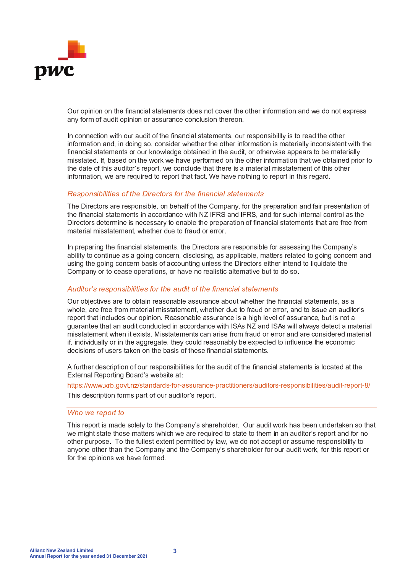

Our opinion on the financial statements does not cover the other information and we do not express any form of audit opinion or assurance conclusion thereon.

In connection with our audit of the financial statements, our responsibility is to read the other information and, in doing so, consider whether the other information is materially inconsistent with the financial statements or our knowledge obtained in the audit, or otherwise appears to be materially misstated. If, based on the work we have performed on the other information that we obtained prior to the date of this auditor's report, we conclude that there is a material misstatement of this other information, we are required to report that fact. We have nothing to report in this regard.

### Responsibilities of the Directors for the financial statements

The Directors are responsible, on behalf of the Company, for the preparation and fair presentation of the financial statements in accordance with  $NZ$  IFRS and IFRS, and for such internal control as the Directors determine is necessary to enable the preparation of financial statements that are free from material misstatement, whether due to fraud or error.

In preparing the financial statements, the Directors are responsible for assessing the Company's ability to continue as a going concern, disclosing, as applicable, matters related to going concern and using the going concern basis of accounting unless the Directors either intend to liquidate the Company or to cease operations, or have no realistic alternative but to do so.

### Auditor's responsibilities for the audit of the financial statements

Our objectives are to obtain reasonable assurance about whether the financial statements, as a whole, are free from material misstatement, whether due to fraud or error, and to issue an auditor's report that includes our opinion. Reasonable assurance is a high level of assurance, but is not a guarantee that an audit conducted in accordance with ISAs NZ and ISAs will always detect a material misstatement when it exists. Misstatements can arise from fraud or error and are considered material if, individually or in the aggregate, they could reasonably be expected to influence the economic decisions of users taken on the basis of these financial statements.

A further description of our responsibilities for the audit of the financial statements is located at the External Reporting Board's website at:

https://www.xrb.govt.nz/standards-for-assurance-practitioners/auditors-responsibilities/audit-report-8/ This description forms part of our auditor's report.

### Who we report to

This report is made solely to the Company's shareholder. Our audit work has been undertaken so that we might state those matters which we are required to state to them in an auditor's report and for no other purpose. To the fullest extent permitted by law, we do not accept or assume responsibility to anyone other than the Company and the Company's shareholder for our audit work, for this report or for the opinions we have formed.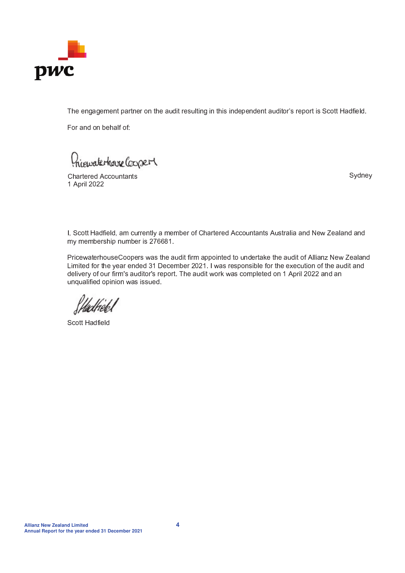

The engagement partner on the audit resulting in this independent auditor's report is Scott Hadfield.

For and on behalf of:

Priewaterhave Cooper

Chartered Accountants 1 April 202

Sydney

I, Scott Hadfield, am currently a member of Chartered Accountants Australia and New Zealand and my membership number is 276681.

PricewaterhouseCoopers was the audit firm appointed to undertake the audit of Allianz New Zealand Limited for the year ended 31 December 2021. I was responsible for the execution of the audit and delivery of our firm's auditor's report. The audit work was completed on 1 April 2022 and a unqualified opinion was issued.

Scott Hadfield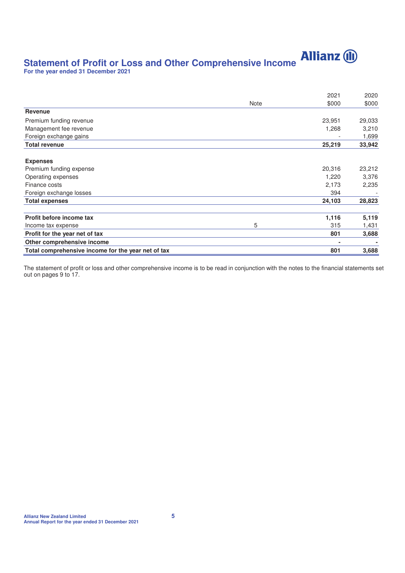# **Statement of Profit or Loss and Other Comprehensive Income For the year ended 31 December 2021**

|                                                    |             | 2021   | 2020   |
|----------------------------------------------------|-------------|--------|--------|
|                                                    | <b>Note</b> | \$000  | \$000  |
| Revenue                                            |             |        |        |
| Premium funding revenue                            |             | 23,951 | 29,033 |
| Management fee revenue                             |             | 1,268  | 3,210  |
| Foreign exchange gains                             |             |        | 1,699  |
| <b>Total revenue</b>                               |             | 25,219 | 33,942 |
| <b>Expenses</b>                                    |             |        |        |
| Premium funding expense                            |             | 20,316 | 23,212 |
| Operating expenses                                 |             | 1,220  | 3,376  |
| Finance costs                                      |             | 2,173  | 2,235  |
| Foreign exchange losses                            |             | 394    |        |
| <b>Total expenses</b>                              |             | 24,103 | 28,823 |
| Profit before income tax                           |             | 1,116  | 5,119  |
| Income tax expense                                 | 5           | 315    | 1,431  |
| Profit for the year net of tax                     |             | 801    | 3,688  |
| Other comprehensive income                         |             |        |        |
| Total comprehensive income for the year net of tax |             | 801    | 3,688  |

The statement of profit or loss and other comprehensive income is to be read in conjunction with the notes to the financial statements set out on pages 9 to 17.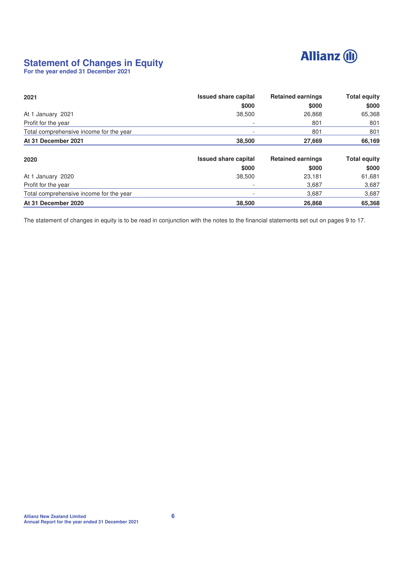# **Statement of Changes in Equity**



**For the year ended 31 December 2021**

| 2021                                    | <b>Issued share capital</b> | <b>Retained earnings</b> | <b>Total equity</b> |
|-----------------------------------------|-----------------------------|--------------------------|---------------------|
|                                         | \$000                       | \$000                    | \$000               |
| At 1 January 2021                       | 38,500                      | 26,868                   | 65,368              |
| Profit for the year                     | $\overline{\phantom{a}}$    | 801                      | 801                 |
| Total comprehensive income for the year |                             | 801                      | 801                 |
| At 31 December 2021                     | 38,500                      | 27,669                   | 66,169              |
| 2020                                    | <b>Issued share capital</b> | <b>Retained earnings</b> | <b>Total equity</b> |
|                                         | \$000                       | \$000                    | \$000               |
| At 1 January 2020                       | 38,500                      | 23,181                   | 61,681              |
| Profit for the year                     | $\overline{\phantom{a}}$    | 3,687                    | 3,687               |
| Total comprehensive income for the year | $\overline{\phantom{a}}$    | 3,687                    | 3,687               |
| At 31 December 2020                     | 38,500                      | 26,868                   | 65,368              |

The statement of changes in equity is to be read in conjunction with the notes to the financial statements set out on pages 9 to 17.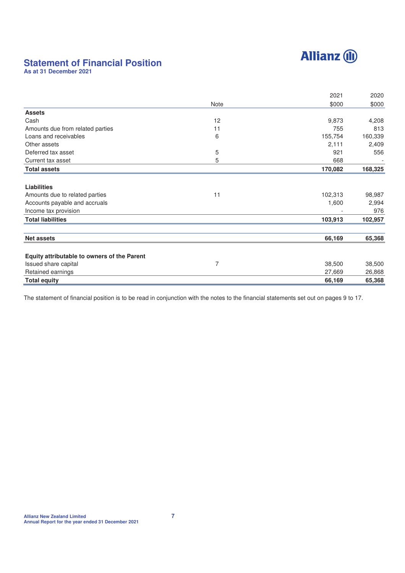# **Statement of Financial Position**

**As at 31 December 2021**

|                                             |      | 2021    | 2020    |
|---------------------------------------------|------|---------|---------|
|                                             | Note | \$000   | \$000   |
| <b>Assets</b>                               |      |         |         |
| Cash                                        | 12   | 9,873   | 4,208   |
| Amounts due from related parties            | 11   | 755     | 813     |
| Loans and receivables                       | 6    | 155,754 | 160,339 |
| Other assets                                |      | 2,111   | 2,409   |
| Deferred tax asset                          | 5    | 921     | 556     |
| Current tax asset                           | 5    | 668     |         |
| <b>Total assets</b>                         |      | 170,082 | 168,325 |
| <b>Liabilities</b>                          |      |         |         |
| Amounts due to related parties              | 11   | 102,313 | 98,987  |
| Accounts payable and accruals               |      | 1,600   | 2,994   |
| Income tax provision                        |      |         | 976     |
| <b>Total liabilities</b>                    |      | 103,913 | 102,957 |
| <b>Net assets</b>                           |      | 66,169  | 65,368  |
|                                             |      |         |         |
| Equity attributable to owners of the Parent |      |         |         |
| Issued share capital                        | 7    | 38,500  | 38,500  |
| Retained earnings                           |      | 27,669  | 26,868  |
| <b>Total equity</b>                         |      | 66,169  | 65,368  |

The statement of financial position is to be read in conjunction with the notes to the financial statements set out on pages 9 to 17.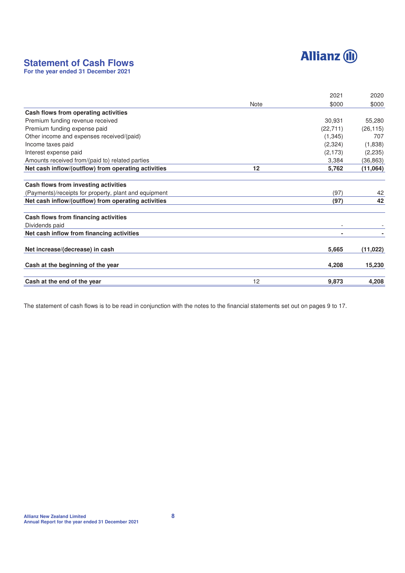# **Statement of Cash Flows**

**For the year ended 31 December 2021**

|                                                       |             | 2021      | 2020      |
|-------------------------------------------------------|-------------|-----------|-----------|
|                                                       | <b>Note</b> | \$000     | \$000     |
| Cash flows from operating activities                  |             |           |           |
| Premium funding revenue received                      |             | 30,931    | 55,280    |
| Premium funding expense paid                          |             | (22, 711) | (26, 115) |
| Other income and expenses received/(paid)             |             | (1, 345)  | 707       |
| Income taxes paid                                     |             | (2,324)   | (1,838)   |
| Interest expense paid                                 |             | (2, 173)  | (2, 235)  |
| Amounts received from/(paid to) related parties       |             | 3,384     | (36, 863) |
| Net cash inflow/(outflow) from operating activities   | 12          | 5,762     | (11,064)  |
| Cash flows from investing activities                  |             |           |           |
| (Payments)/receipts for property, plant and equipment |             | (97)      | 42        |
| Net cash inflow/(outflow) from operating activities   |             | (97)      | 42        |
| Cash flows from financing activities                  |             |           |           |
| Dividends paid                                        |             |           |           |
| Net cash inflow from financing activities             |             |           |           |
| Net increase/(decrease) in cash                       |             | 5,665     | (11, 022) |
| Cash at the beginning of the year                     |             | 4,208     | 15,230    |
| Cash at the end of the year                           | 12          | 9,873     | 4,208     |

The statement of cash flows is to be read in conjunction with the notes to the financial statements set out on pages 9 to 17.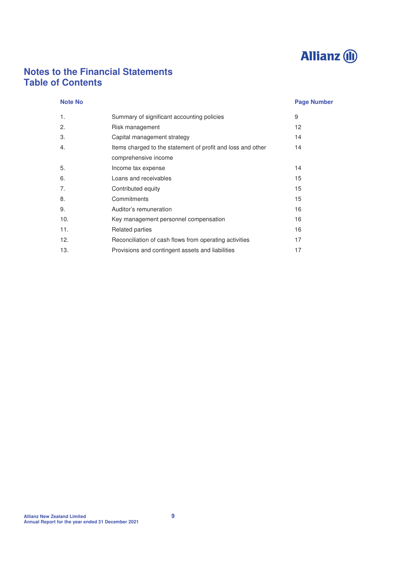

# **Notes to the Financial Statements Table of Contents**

### **Note No Page Number**

| 1.  | Summary of significant accounting policies                  | 9  |
|-----|-------------------------------------------------------------|----|
| 2.  | Risk management                                             | 12 |
| 3.  | Capital management strategy                                 | 14 |
| 4.  | Items charged to the statement of profit and loss and other | 14 |
|     | comprehensive income                                        |    |
| 5.  | Income tax expense                                          | 14 |
| 6.  | Loans and receivables                                       | 15 |
| 7.  | Contributed equity                                          | 15 |
| 8.  | Commitments                                                 | 15 |
| 9.  | Auditor's remuneration                                      | 16 |
| 10. | Key management personnel compensation                       | 16 |
| 11. | Related parties                                             | 16 |
| 12. | Reconciliation of cash flows from operating activities      | 17 |
| 13. | Provisions and contingent assets and liabilities            | 17 |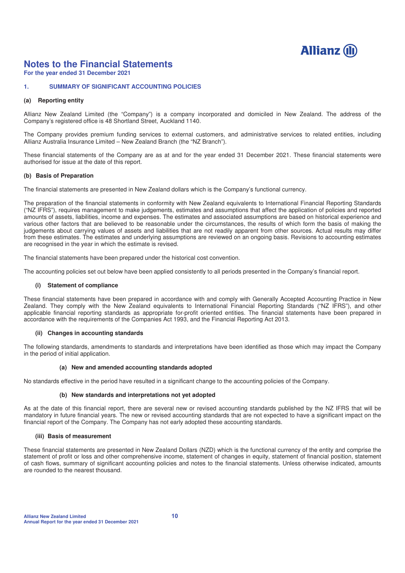# **Notes to the Financial Statements**

**For the year ended 31 December 2021**

### **1. SUMMARY OF SIGNIFICANT ACCOUNTING POLICIES**

#### **(a) Reporting entity**

Allianz New Zealand Limited (the "Company") is a company incorporated and domiciled in New Zealand. The address of the Company's registered office is 48 Shortland Street, Auckland 1140.

The Company provides premium funding services to external customers, and administrative services to related entities, including Allianz Australia Insurance Limited – New Zealand Branch (the "NZ Branch").

These financial statements of the Company are as at and for the year ended 31 December 2021. These financial statements were authorised for issue at the date of this report.

#### **(b) Basis of Preparation**

The financial statements are presented in New Zealand dollars which is the Company's functional currency.

The preparation of the financial statements in conformity with New Zealand equivalents to International Financial Reporting Standards ("NZ IFRS"), requires management to make judgements, estimates and assumptions that affect the application of policies and reported amounts of assets, liabilities, income and expenses. The estimates and associated assumptions are based on historical experience and various other factors that are believed to be reasonable under the circumstances, the results of which form the basis of making the judgements about carrying values of assets and liabilities that are not readily apparent from other sources. Actual results may differ from these estimates. The estimates and underlying assumptions are reviewed on an ongoing basis. Revisions to accounting estimates are recognised in the year in which the estimate is revised.

The financial statements have been prepared under the historical cost convention.

The accounting policies set out below have been applied consistently to all periods presented in the Company's financial report.

#### **(i) Statement of compliance**

These financial statements have been prepared in accordance with and comply with Generally Accepted Accounting Practice in New Zealand. They comply with the New Zealand equivalents to International Financial Reporting Standards ("NZ IFRS"), and other applicable financial reporting standards as appropriate for-profit oriented entities. The financial statements have been prepared in accordance with the requirements of the Companies Act 1993, and the Financial Reporting Act 2013.

#### **(ii) Changes in accounting standards**

The following standards, amendments to standards and interpretations have been identified as those which may impact the Company in the period of initial application.

#### **(a) New and amended accounting standards adopted**

No standards effective in the period have resulted in a significant change to the accounting policies of the Company.

#### **(b) New standards and interpretations not yet adopted**

As at the date of this financial report, there are several new or revised accounting standards published by the NZ IFRS that will be mandatory in future financial years. The new or revised accounting standards that are not expected to have a significant impact on the financial report of the Company. The Company has not early adopted these accounting standards.

#### **(iii) Basis of measurement**

These financial statements are presented in New Zealand Dollars (NZD) which is the functional currency of the entity and comprise the statement of profit or loss and other comprehensive income, statement of changes in equity, statement of financial position, statement of cash flows, summary of significant accounting policies and notes to the financial statements. Unless otherwise indicated, amounts are rounded to the nearest thousand.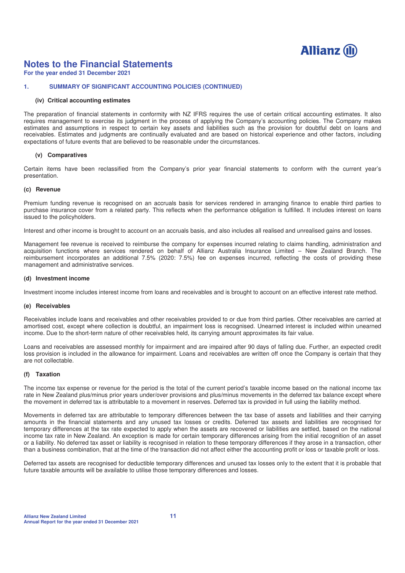# **Notes to the Financial Statements**

**For the year ended 31 December 2021**

#### **1. SUMMARY OF SIGNIFICANT ACCOUNTING POLICIES (CONTINUED)**

#### **(iv) Critical accounting estimates**

The preparation of financial statements in conformity with NZ IFRS requires the use of certain critical accounting estimates. It also requires management to exercise its judgment in the process of applying the Company's accounting policies. The Company makes estimates and assumptions in respect to certain key assets and liabilities such as the provision for doubtful debt on loans and receivables. Estimates and judgments are continually evaluated and are based on historical experience and other factors, including expectations of future events that are believed to be reasonable under the circumstances.

#### **(v) Comparatives**

Certain items have been reclassified from the Company's prior year financial statements to conform with the current year's presentation.

#### **(c) Revenue**

Premium funding revenue is recognised on an accruals basis for services rendered in arranging finance to enable third parties to purchase insurance cover from a related party. This reflects when the performance obligation is fulfilled. It includes interest on loans issued to the policyholders.

Interest and other income is brought to account on an accruals basis, and also includes all realised and unrealised gains and losses.

Management fee revenue is received to reimburse the company for expenses incurred relating to claims handling, administration and acquisition functions where services rendered on behalf of Allianz Australia Insurance Limited – New Zealand Branch. The reimbursement incorporates an additional 7.5% (2020: 7.5%) fee on expenses incurred, reflecting the costs of providing these management and administrative services.

#### **(d) Investment income**

Investment income includes interest income from loans and receivables and is brought to account on an effective interest rate method.

#### **(e) Receivables**

Receivables include loans and receivables and other receivables provided to or due from third parties. Other receivables are carried at amortised cost, except where collection is doubtful, an impairment loss is recognised. Unearned interest is included within unearned income. Due to the short-term nature of other receivables held, its carrying amount approximates its fair value.

Loans and receivables are assessed monthly for impairment and are impaired after 90 days of falling due. Further, an expected credit loss provision is included in the allowance for impairment. Loans and receivables are written off once the Company is certain that they are not collectable.

#### **(f) Taxation**

The income tax expense or revenue for the period is the total of the current period's taxable income based on the national income tax rate in New Zealand plus/minus prior years under/over provisions and plus/minus movements in the deferred tax balance except where the movement in deferred tax is attributable to a movement in reserves. Deferred tax is provided in full using the liability method.

Movements in deferred tax are attributable to temporary differences between the tax base of assets and liabilities and their carrying amounts in the financial statements and any unused tax losses or credits. Deferred tax assets and liabilities are recognised for temporary differences at the tax rate expected to apply when the assets are recovered or liabilities are settled, based on the national income tax rate in New Zealand. An exception is made for certain temporary differences arising from the initial recognition of an asset or a liability. No deferred tax asset or liability is recognised in relation to these temporary differences if they arose in a transaction, other than a business combination, that at the time of the transaction did not affect either the accounting profit or loss or taxable profit or loss.

Deferred tax assets are recognised for deductible temporary differences and unused tax losses only to the extent that it is probable that future taxable amounts will be available to utilise those temporary differences and losses.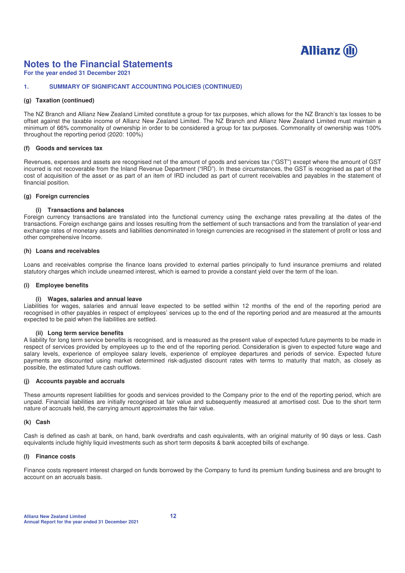**For the year ended 31 December 2021**

### **1. SUMMARY OF SIGNIFICANT ACCOUNTING POLICIES (CONTINUED)**

#### **(g) Taxation (continued)**

The NZ Branch and Allianz New Zealand Limited constitute a group for tax purposes, which allows for the NZ Branch's tax losses to be offset against the taxable income of Allianz New Zealand Limited. The NZ Branch and Allianz New Zealand Limited must maintain a minimum of 66% commonality of ownership in order to be considered a group for tax purposes. Commonality of ownership was 100% throughout the reporting period (2020: 100%)

**Allianz (II)** 

#### **(f) Goods and services tax**

Revenues, expenses and assets are recognised net of the amount of goods and services tax ("GST") except where the amount of GST incurred is not recoverable from the Inland Revenue Department ("IRD"). In these circumstances, the GST is recognised as part of the cost of acquisition of the asset or as part of an item of IRD included as part of current receivables and payables in the statement of financial position.

#### **(g) Foreign currencies**

#### **(i) Transactions and balances**

Foreign currency transactions are translated into the functional currency using the exchange rates prevailing at the dates of the transactions. Foreign exchange gains and losses resulting from the settlement of such transactions and from the translation of year-end exchange rates of monetary assets and liabilities denominated in foreign currencies are recognised in the statement of profit or loss and other comprehensive Income.

#### **(h) Loans and receivables**

Loans and receivables comprise the finance loans provided to external parties principally to fund insurance premiums and related statutory charges which include unearned interest, which is earned to provide a constant yield over the term of the loan.

#### **(i) Employee benefits**

#### **(i) Wages, salaries and annual leave**

Liabilities for wages, salaries and annual leave expected to be settled within 12 months of the end of the reporting period are recognised in other payables in respect of employees' services up to the end of the reporting period and are measured at the amounts expected to be paid when the liabilities are settled.

#### **(ii) Long term service benefits**

A liability for long term service benefits is recognised, and is measured as the present value of expected future payments to be made in respect of services provided by employees up to the end of the reporting period. Consideration is given to expected future wage and salary levels, experience of employee salary levels, experience of employee departures and periods of service. Expected future payments are discounted using market determined risk-adjusted discount rates with terms to maturity that match, as closely as possible, the estimated future cash outflows.

#### **(j) Accounts payable and accruals**

These amounts represent liabilities for goods and services provided to the Company prior to the end of the reporting period, which are unpaid. Financial liabilities are initially recognised at fair value and subsequently measured at amortised cost. Due to the short term nature of accruals held, the carrying amount approximates the fair value.

#### **(k) Cash**

Cash is defined as cash at bank, on hand, bank overdrafts and cash equivalents, with an original maturity of 90 days or less. Cash equivalents include highly liquid investments such as short term deposits & bank accepted bills of exchange.

#### **(l) Finance costs**

Finance costs represent interest charged on funds borrowed by the Company to fund its premium funding business and are brought to account on an accruals basis.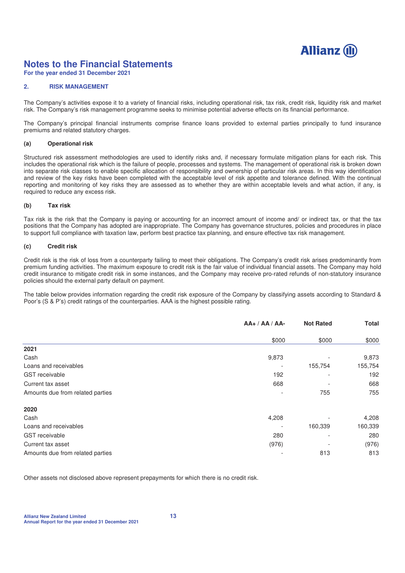

**For the year ended 31 December 2021**

### **2. RISK MANAGEMENT**

The Company's activities expose it to a variety of financial risks, including operational risk, tax risk, credit risk, liquidity risk and market risk. The Company's risk management programme seeks to minimise potential adverse effects on its financial performance.

The Company's principal financial instruments comprise finance loans provided to external parties principally to fund insurance premiums and related statutory charges.

#### **(a) Operational risk**

Structured risk assessment methodologies are used to identify risks and, if necessary formulate mitigation plans for each risk. This includes the operational risk which is the failure of people, processes and systems. The management of operational risk is broken down into separate risk classes to enable specific allocation of responsibility and ownership of particular risk areas. In this way identification and review of the key risks have been completed with the acceptable level of risk appetite and tolerance defined. With the continual reporting and monitoring of key risks they are assessed as to whether they are within acceptable levels and what action, if any, is required to reduce any excess risk.

#### **(b) Tax risk**

Tax risk is the risk that the Company is paying or accounting for an incorrect amount of income and/ or indirect tax, or that the tax positions that the Company has adopted are inappropriate. The Company has governance structures, policies and procedures in place to support full compliance with taxation law, perform best practice tax planning, and ensure effective tax risk management.

#### **(c) Credit risk**

Credit risk is the risk of loss from a counterparty failing to meet their obligations. The Company's credit risk arises predominantly from premium funding activities. The maximum exposure to credit risk is the fair value of individual financial assets. The Company may hold credit insurance to mitigate credit risk in some instances, and the Company may receive pro-rated refunds of non-statutory insurance policies should the external party default on payment.

The table below provides information regarding the credit risk exposure of the Company by classifying assets according to Standard & Poor's (S & P's) credit ratings of the counterparties. AAA is the highest possible rating.

|                                  | $AA+ / AA / AA$ | <b>Not Rated</b>             | <b>Total</b> |
|----------------------------------|-----------------|------------------------------|--------------|
|                                  | \$000           | \$000                        | \$000        |
| 2021                             |                 |                              |              |
| Cash                             | 9,873           |                              | 9,873        |
| Loans and receivables            |                 | 155,754                      | 155,754      |
| <b>GST</b> receivable            | 192             | $\qquad \qquad \blacksquare$ | 192          |
| Current tax asset                | 668             |                              | 668          |
| Amounts due from related parties |                 | 755                          | 755          |
| 2020                             |                 |                              |              |
| Cash                             | 4,208           |                              | 4,208        |
| Loans and receivables            |                 | 160,339                      | 160,339      |
| <b>GST</b> receivable            | 280             |                              | 280          |
| Current tax asset                | (976)           |                              | (976)        |
| Amounts due from related parties |                 | 813                          | 813          |

Other assets not disclosed above represent prepayments for which there is no credit risk.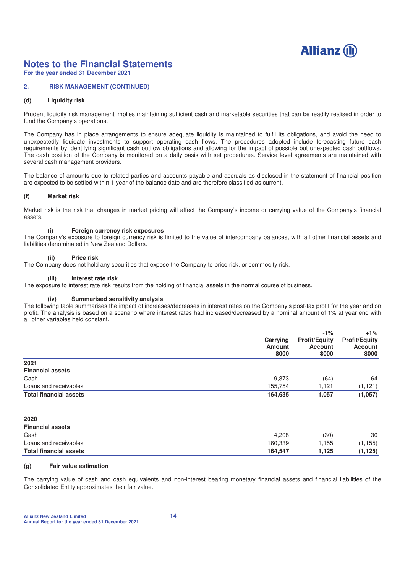

**For the year ended 31 December 2021**

### **2. RISK MANAGEMENT (CONTINUED)**

#### **(d) Liquidity risk**

Prudent liquidity risk management implies maintaining sufficient cash and marketable securities that can be readily realised in order to fund the Company's operations.

The Company has in place arrangements to ensure adequate liquidity is maintained to fulfil its obligations, and avoid the need to unexpectedly liquidate investments to support operating cash flows. The procedures adopted include forecasting future cash requirements by identifying significant cash outflow obligations and allowing for the impact of possible but unexpected cash outflows. The cash position of the Company is monitored on a daily basis with set procedures. Service level agreements are maintained with several cash management providers.

The balance of amounts due to related parties and accounts payable and accruals as disclosed in the statement of financial position are expected to be settled within 1 year of the balance date and are therefore classified as current.

#### **(f) Market risk**

Market risk is the risk that changes in market pricing will affect the Company's income or carrying value of the Company's financial assets.

#### **(i) Foreign currency risk exposures**

The Company's exposure to foreign currency risk is limited to the value of intercompany balances, with all other financial assets and liabilities denominated in New Zealand Dollars.

#### **(ii) Price risk**

The Company does not hold any securities that expose the Company to price risk, or commodity risk.

#### **(iii) Interest rate risk**

The exposure to interest rate risk results from the holding of financial assets in the normal course of business.

#### **(iv) Summarised sensitivity analysis**

The following table summarises the impact of increases/decreases in interest rates on the Company's post-tax profit for the year and on profit. The analysis is based on a scenario where interest rates had increased/decreased by a nominal amount of 1% at year end with all other variables held constant.

|                               | Carrying<br><b>Amount</b><br>\$000 | $-1%$<br><b>Profit/Equity</b><br><b>Account</b><br>\$000 | $+1\%$<br><b>Profit/Equity</b><br><b>Account</b><br>\$000 |
|-------------------------------|------------------------------------|----------------------------------------------------------|-----------------------------------------------------------|
| 2021                          |                                    |                                                          |                                                           |
| <b>Financial assets</b>       |                                    |                                                          |                                                           |
| Cash                          | 9,873                              | (64)                                                     | 64                                                        |
| Loans and receivables         | 155,754                            | 1,121                                                    | (1, 121)                                                  |
| <b>Total financial assets</b> | 164,635                            | 1,057                                                    | (1,057)                                                   |
| 2020                          |                                    |                                                          |                                                           |
| <b>Financial assets</b>       |                                    |                                                          |                                                           |
| Cash                          | 4,208                              | (30)                                                     | 30                                                        |
| Loans and receivables         | 160,339                            | 1,155                                                    | (1, 155)                                                  |
| <b>Total financial assets</b> | 164,547                            | 1,125                                                    | (1, 125)                                                  |

#### **(g) Fair value estimation**

The carrying value of cash and cash equivalents and non-interest bearing monetary financial assets and financial liabilities of the Consolidated Entity approximates their fair value.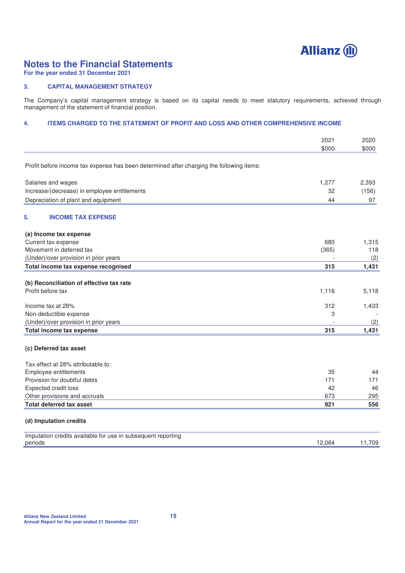

**For the year ended 31 December 2021**

### **3. CAPITAL MANAGEMENT STRATEGY**

The Company's capital management strategy is based on its capital needs to meet statutory requirements, achieved through management of the statement of financial position.

### **4. ITEMS CHARGED TO THE STATEMENT OF PROFIT AND LOSS AND OTHER COMPREHENSIVE INCOME**

|                                                                                          | 2021   | 2020   |
|------------------------------------------------------------------------------------------|--------|--------|
|                                                                                          | \$000  | \$000  |
| Profit before income tax expense has been determined after charging the following items: |        |        |
| Salaries and wages                                                                       | 1,277  | 2,393  |
| Increase/(decrease) in employee entitlements                                             | 32     | (156)  |
| Depreciation of plant and equipment                                                      | 44     | 97     |
| 5.<br><b>INCOME TAX EXPENSE</b>                                                          |        |        |
| (a) Income tax expense                                                                   |        |        |
| Current tax expense                                                                      | 680    | 1,315  |
| Movement in deferred tax                                                                 | (365)  | 118    |
| (Under)/over provision in prior years                                                    |        | (2)    |
| Total income tax expense recognised                                                      | 315    | 1,431  |
| (b) Reconciliation of effective tax rate                                                 |        |        |
| Profit before tax                                                                        | 1,116  | 5,118  |
| Income tax at 28%                                                                        | 312    | 1,433  |
| Non-deductible expense                                                                   | 3      |        |
| (Under)/over provision in prior years                                                    |        | (2)    |
| Total income tax expense                                                                 | 315    | 1,431  |
| (c) Deferred tax asset                                                                   |        |        |
| Tax effect at 28% attributable to:                                                       |        |        |
| Employee entitlements                                                                    | 35     | 44     |
| Provision for doubtful debts                                                             | 171    | 171    |
| Expected credit loss                                                                     | 42     | 46     |
| Other provisions and accruals                                                            | 673    | 295    |
| <b>Total deferred tax asset</b>                                                          | 921    | 556    |
| (d) Imputation credits                                                                   |        |        |
| Imputation credits available for use in subsequent reporting                             |        |        |
| periods                                                                                  | 12.064 | 11,709 |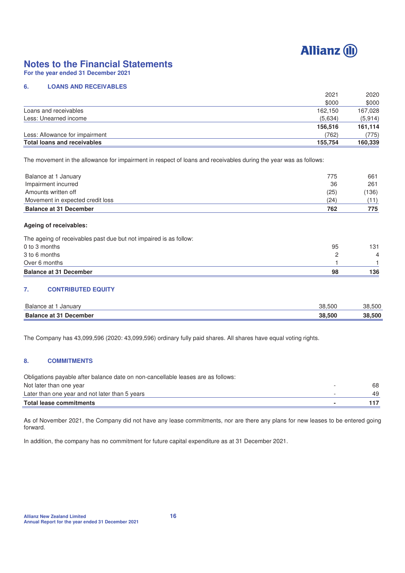

**For the year ended 31 December 2021**

### **6. LOANS AND RECEIVABLES**

| <b>Total loans and receivables</b> | 155.754 | 160,339 |
|------------------------------------|---------|---------|
| Less: Allowance for impairment     | (762)   | (775)   |
|                                    | 156,516 | 161,114 |
| Less: Unearned income              | (5,634) | (5,914) |
| Loans and receivables              | 162.150 | 167,028 |
|                                    | \$000   | \$000   |
|                                    | 2021    | 2020    |

The movement in the allowance for impairment in respect of loans and receivables during the year was as follows:

| Balance at 1 January             | 775  | 661   |
|----------------------------------|------|-------|
| Impairment incurred              | 36   | 261   |
| Amounts written off              | (25) | (136) |
| Movement in expected credit loss | (24) | (11)  |
| <b>Balance at 31 December</b>    | 762  | 775   |

#### **Ageing of receivables:**

| The ageing of receivables past due but not impaired is as follow: |    |     |
|-------------------------------------------------------------------|----|-----|
| 0 to 3 months                                                     | 95 | 131 |
| 3 to 6 months                                                     |    |     |
| Over 6 months                                                     |    |     |
| <b>Balance at 31 December</b>                                     | 98 | 136 |

## **7. CONTRIBUTED EQUITY**

| Balance at<br>January                          | 38.500 | .500<br>38 |
|------------------------------------------------|--------|------------|
| <b>Balance</b><br>.e at 31.<br><b>December</b> | 38,500 | 38.500     |

The Company has 43,099,596 (2020: 43,099,596) ordinary fully paid shares. All shares have equal voting rights.

#### **8. COMMITMENTS**

| Obligations payable after balance date on non-cancellable leases are as follows: |    |
|----------------------------------------------------------------------------------|----|
| Not later than one year                                                          | 68 |
| Later than one year and not later than 5 years                                   | 49 |
| Total lease commitments                                                          |    |

As of November 2021, the Company did not have any lease commitments, nor are there any plans for new leases to be entered going forward.

In addition, the company has no commitment for future capital expenditure as at 31 December 2021.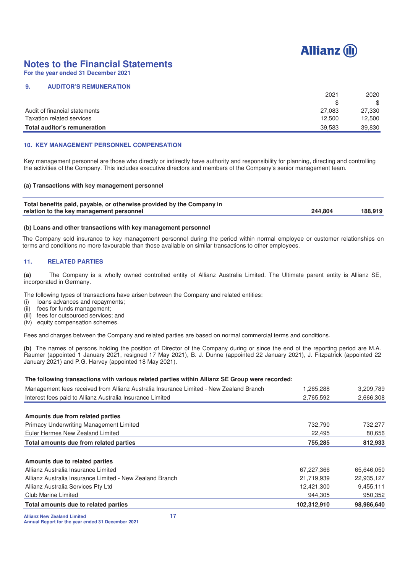

**For the year ended 31 December 2021**

### **9. AUDITOR'S REMUNERATION**

|                               | 2021   | 2020   |
|-------------------------------|--------|--------|
|                               |        | \$     |
| Audit of financial statements | 27,083 | 27,330 |
| Taxation related services     | 12.500 | 12.500 |
| Total auditor's remuneration  | 39.583 | 39,830 |

#### **10. KEY MANAGEMENT PERSONNEL COMPENSATION**

Key management personnel are those who directly or indirectly have authority and responsibility for planning, directing and controlling the activities of the Company. This includes executive directors and members of the Company's senior management team.

#### **(a) Transactions with key management personnel**

| Total benefits paid, payable, or otherwise provided by the Company in |         |         |
|-----------------------------------------------------------------------|---------|---------|
| relation to the key management personnel                              | 244.804 | 188.919 |

#### **(b) Loans and other transactions with key management personnel**

The Company sold insurance to key management personnel during the period within normal employee or customer relationships on terms and conditions no more favourable than those available on similar transactions to other employees.

#### **11. RELATED PARTIES**

**(a)** The Company is a wholly owned controlled entity of Allianz Australia Limited. The Ultimate parent entity is Allianz SE, incorporated in Germany.

The following types of transactions have arisen between the Company and related entities:

- (i) loans advances and repayments;
- (ii) fees for funds management;
- (iii) fees for outsourced services; and
- (iv) equity compensation schemes.

Fees and charges between the Company and related parties are based on normal commercial terms and conditions.

**(b)** The names of persons holding the position of Director of the Company during or since the end of the reporting period are M.A. Raumer (appointed 1 January 2021, resigned 17 May 2021), B. J. Dunne (appointed 22 January 2021), J. Fitzpatrick (appointed 22 January 2021) and P.G. Harvey (appointed 18 May 2021).

#### **The following transactions with various related parties within Allianz SE Group were recorded:**

| Management fees received from Allianz Australia Insurance Limited - New Zealand Branch | 1,265,288   | 3,209,789  |
|----------------------------------------------------------------------------------------|-------------|------------|
| Interest fees paid to Allianz Australia Insurance Limited                              | 2,765,592   | 2,666,308  |
|                                                                                        |             |            |
| Amounts due from related parties                                                       |             |            |
| Primacy Underwriting Management Limited                                                | 732,790     | 732,277    |
| Euler Hermes New Zealand Limited                                                       | 22,495      | 80,656     |
| Total amounts due from related parties                                                 | 755,285     | 812,933    |
|                                                                                        |             |            |
| Amounts due to related parties                                                         |             |            |
| Allianz Australia Insurance Limited                                                    | 67,227,366  | 65,646,050 |
| Allianz Australia Insurance Limited - New Zealand Branch                               | 21,719,939  | 22,935,127 |
| Allianz Australia Services Pty Ltd                                                     | 12,421,300  | 9,455,111  |
| Club Marine Limited                                                                    | 944,305     | 950,352    |
| Total amounts due to related parties                                                   | 102,312,910 | 98,986,640 |
| -17<br>Allians Mary Zeelend Lindbed                                                    |             |            |